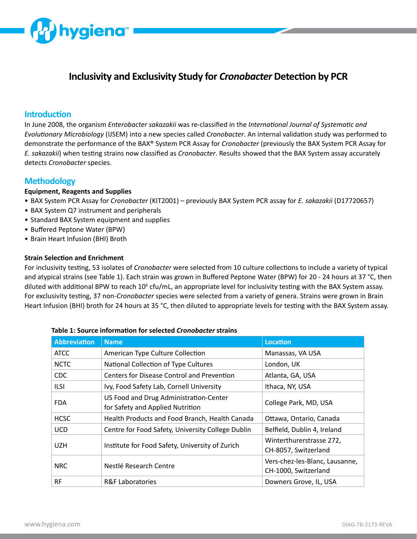

# **Inclusivity and Exclusivity Study for** *Cronobacter* **Detection by PCR**

## **Introduction**

In June 2008, the organism *Enterobacter sakazakii* was re-classified in the *International Journal of Systematic and Evolutionary Microbiology* (IJSEM) into a new species called *Cronobacter*. An internal validation study was performed to demonstrate the performance of the BAX® System PCR Assay for *Cronobacter* (previously the BAX System PCR Assay for *E. sakazakii*) when testing strains now classified as *Cronobacter*. Results showed that the BAX System assay accurately detects *Cronobacter* species.

## **Methodology**

#### **Equipment, Reagents and Supplies**

- BAX System PCR Assay for *Cronobacter* (KIT2001) previously BAX System PCR assay for *E. sakazakii* (D17720657)
- BAX System Q7 instrument and peripherals
- Standard BAX System equipment and supplies
- Buffered Peptone Water (BPW)
- Brain Heart Infusion (BHI) Broth

#### **Strain Selection and Enrichment**

For inclusivity testing, 53 isolates of *Cronobacter* were selected from 10 culture collections to include a variety of typical and atypical strains (see Table 1). Each strain was grown in Buffered Peptone Water (BPW) for 20 - 24 hours at 37 °C, then diluted with additional BPW to reach 10<sup>6</sup> cfu/mL, an appropriate level for inclusivity testing with the BAX System assay. For exclusivity testing, 37 non-*Cronobacter* species were selected from a variety of genera. Strains were grown in Brain Heart Infusion (BHI) broth for 24 hours at 35 °C, then diluted to appropriate levels for testing with the BAX System assay.

| <b>Abbreviation</b> | <b>Name</b>                                                                | <b>Location</b>                                        |
|---------------------|----------------------------------------------------------------------------|--------------------------------------------------------|
| <b>ATCC</b>         | American Type Culture Collection                                           | Manassas, VA USA                                       |
| <b>NCTC</b>         | National Collection of Type Cultures                                       | London, UK                                             |
| <b>CDC</b>          | Centers for Disease Control and Prevention                                 | Atlanta, GA, USA                                       |
| <b>ILSI</b>         | Ivy, Food Safety Lab, Cornell University                                   | Ithaca, NY, USA                                        |
| <b>FDA</b>          | US Food and Drug Administration-Center<br>for Safety and Applied Nutrition | College Park, MD, USA                                  |
| <b>HCSC</b>         | Health Products and Food Branch, Health Canada                             | Ottawa, Ontario, Canada                                |
| <b>UCD</b>          | Centre for Food Safety, University College Dublin                          | Belfield, Dublin 4, Ireland                            |
| <b>UZH</b>          | Institute for Food Safety, University of Zurich                            | Winterthurerstrasse 272,<br>CH-8057, Switzerland       |
| <b>NRC</b>          | Nestlé Research Centre                                                     | Vers-chez-les-Blanc, Lausanne,<br>CH-1000, Switzerland |
| <b>RF</b>           | <b>R&amp;F Laboratories</b>                                                | Downers Grove, IL, USA                                 |

#### **Table 1: Source information for selected** *Cronobacter* **strains**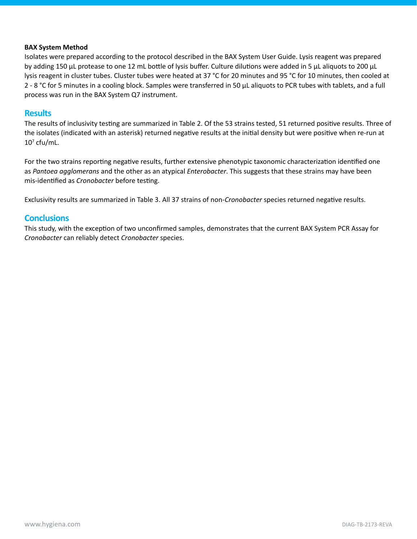#### **BAX System Method**

Isolates were prepared according to the protocol described in the BAX System User Guide. Lysis reagent was prepared by adding 150 μL protease to one 12 mL bottle of lysis buffer. Culture dilutions were added in 5 μL aliquots to 200 μL lysis reagent in cluster tubes. Cluster tubes were heated at 37 °C for 20 minutes and 95 °C for 10 minutes, then cooled at 2 - 8 °C for 5 minutes in a cooling block. Samples were transferred in 50 μL aliquots to PCR tubes with tablets, and a full process was run in the BAX System Q7 instrument.

### **Results**

The results of inclusivity testing are summarized in Table 2. Of the 53 strains tested, 51 returned positive results. Three of the isolates (indicated with an asterisk) returned negative results at the initial density but were positive when re-run at  $10<sup>7</sup>$  cfu/mL.

For the two strains reporting negative results, further extensive phenotypic taxonomic characterization identified one as *Pantoea agglomerans* and the other as an atypical *Enterobacter*. This suggests that these strains may have been mis-identified as *Cronobacter* before testing.

Exclusivity results are summarized in Table 3. All 37 strains of non-*Cronobacter* species returned negative results.

### **Conclusions**

This study, with the exception of two unconfirmed samples, demonstrates that the current BAX System PCR Assay for *Cronobacter* can reliably detect *Cronobacter* species.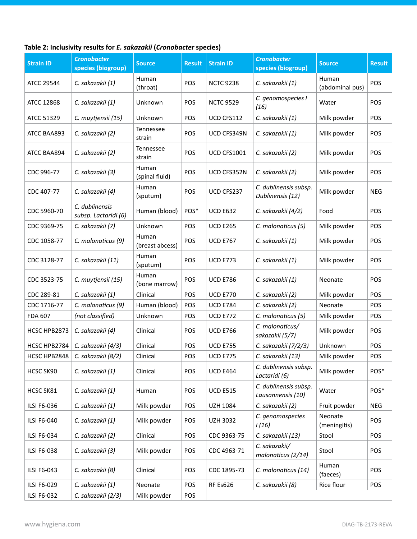## **Table 2: Inclusivity results for** *E. sakazakii* **(***Cronobacter* **species)**

| <b>Strain ID</b>   | <b>Cronobacter</b><br>species (biogroup) | <b>Source</b>            | <b>Result</b> | <b>Strain ID</b>   | <b>Cronobacter</b><br>species (biogroup)   | <b>Source</b>            | <b>Result</b> |
|--------------------|------------------------------------------|--------------------------|---------------|--------------------|--------------------------------------------|--------------------------|---------------|
| <b>ATCC 29544</b>  | C. sakazakii (1)                         | Human<br>(throat)        | POS           | <b>NCTC 9238</b>   | C. sakazakii (1)                           | Human<br>(abdominal pus) | POS           |
| <b>ATCC 12868</b>  | C. sakazakii (1)                         | Unknown                  | POS           | <b>NCTC 9529</b>   | C. genomospecies I<br>(16)                 | Water                    | POS           |
| ATCC 51329         | C. muytjensii (15)                       | Unknown                  | POS           | UCD CFS112         | C. sakazakii (1)                           | Milk powder              | POS           |
| ATCC BAA893        | C. sakazakii (2)                         | Tennessee<br>strain      | POS           | UCD CFS349N        | C. sakazakii (1)                           | Milk powder              | POS           |
| ATCC BAA894        | C. sakazakii (2)                         | Tennessee<br>strain      | POS           | <b>UCD CFS1001</b> | C. sakazakii (2)                           | Milk powder              | POS           |
| CDC 996-77         | C. sakazakii (3)                         | Human<br>(spinal fluid)  | POS           | UCD CFS352N        | C. sakazakii (2)                           | Milk powder              | POS           |
| CDC 407-77         | C. sakazakii (4)                         | Human<br>(sputum)        | POS           | UCD CFS237         | C. dublinensis subsp.<br>Dublinensis (12)  | Milk powder              | <b>NEG</b>    |
| CDC 5960-70        | C. dublinensis<br>subsp. Lactaridi (6)   | Human (blood)            | POS*          | <b>UCD E632</b>    | C. sakazakii (4/2)                         | Food                     | POS           |
| CDC 9369-75        | C. sakazakii (7)                         | Unknown                  | POS           | <b>UCD E265</b>    | C. malonaticus (5)                         | Milk powder              | POS           |
| CDC 1058-77        | C. malonaticus (9)                       | Human<br>(breast abcess) | POS           | <b>UCD E767</b>    | C. sakazakii (1)                           | Milk powder              | POS           |
| CDC 3128-77        | C. sakazakii (11)                        | Human<br>(sputum)        | POS           | <b>UCD E773</b>    | C. sakazakii (1)                           | Milk powder              | POS           |
| CDC 3523-75        | C. muytjensii (15)                       | Human<br>(bone marrow)   | POS           | <b>UCD E786</b>    | C. sakazakii (1)                           | Neonate                  | POS           |
| CDC 289-81         | C. sakazakii (1)                         | Clinical                 | POS           | <b>UCD E770</b>    | C. sakazakii (2)                           | Milk powder              | POS           |
| CDC 1716-77        | C. malonaticus (9)                       | Human (blood)            | POS           | <b>UCD E784</b>    | C. sakazakii (2)                           | Neonate                  | POS           |
| FDA 607            | (not classified)                         | Unknown                  | <b>POS</b>    | <b>UCD E772</b>    | C. malonaticus (5)                         | Milk powder              | <b>POS</b>    |
| HCSC HPB2873       | C. sakazakii (4)                         | Clinical                 | POS           | <b>UCD E766</b>    | C. malonaticus/<br>sakazakii (5/7)         | Milk powder              | POS           |
| HCSC HPB2784       | C. sakazakii (4/3)                       | Clinical                 | POS           | <b>UCD E755</b>    | C. sakazakii (7/2/3)                       | Unknown                  | POS           |
| HCSC HPB2848       | C. sakazakii (8/2)                       | Clinical                 | POS           | <b>UCD E775</b>    | C. sakazakii (13)                          | Milk powder              | POS           |
| HCSC SK90          | C. sakazakii (1)                         | Clinical                 | POS           | <b>UCD E464</b>    | C. dublinensis subsp.<br>Lactaridi (6)     | Milk powder              | POS*          |
| HCSC SK81          | C. sakazakii (1)                         | Human                    | POS           | <b>UCD E515</b>    | C. dublinensis subsp.<br>Lausannensis (10) | Water                    | POS*          |
| <b>ILSI F6-036</b> | C. sakazakii (1)                         | Milk powder              | POS           | <b>UZH 1084</b>    | C. sakazakii (2)                           | Fruit powder             | <b>NEG</b>    |
| <b>ILSI F6-040</b> | C. sakazakii (1)                         | Milk powder              | POS           | <b>UZH 3032</b>    | C. genomospecies<br>1(16)                  | Neonate<br>(meningitis)  | POS           |
| ILSI F6-034        | C. sakazakii (2)                         | Clinical                 | POS           | CDC 9363-75        | C. sakazakii (13)                          | Stool                    | POS           |
| ILSI F6-038        | C. sakazakii (3)                         | Milk powder              | POS           | CDC 4963-71        | C. sakazakii/<br>malonaticus (2/14)        | Stool                    | POS           |
| ILSI F6-043        | C. sakazakii (8)                         | Clinical                 | POS           | CDC 1895-73        | C. malonaticus (14)                        | Human<br>(faeces)        | POS           |
| ILSI F6-029        | C. sakazakii (1)                         | Neonate                  | POS           | <b>RF Es626</b>    | C. sakazakii (8)                           | Rice flour               | POS           |
| ILSI F6-032        | C. sakazakii (2/3)                       | Milk powder              | POS           |                    |                                            |                          |               |